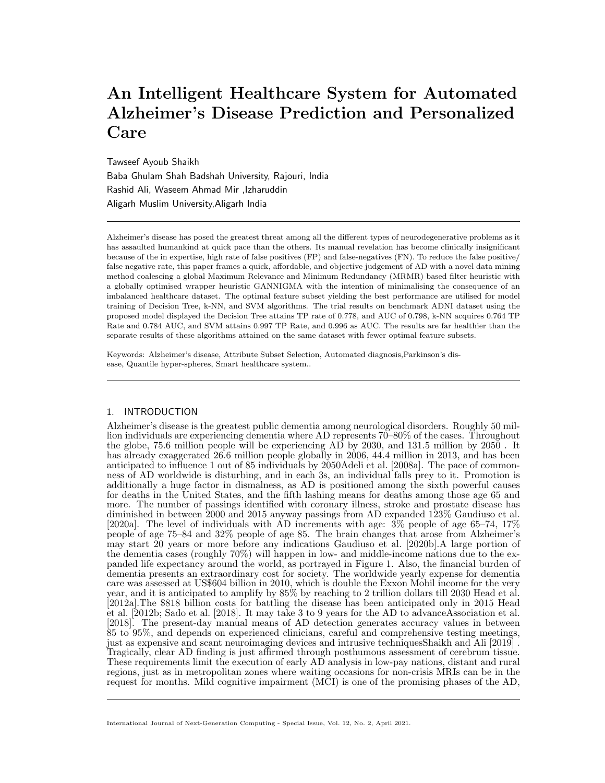# An Intelligent Healthcare System for Automated Alzheimer's Disease Prediction and Personalized Care

Tawseef Ayoub Shaikh Baba Ghulam Shah Badshah University, Rajouri, India Rashid Ali, Waseem Ahmad Mir ,Izharuddin Aligarh Muslim University,Aligarh India

Alzheimer's disease has posed the greatest threat among all the different types of neurodegenerative problems as it has assaulted humankind at quick pace than the others. Its manual revelation has become clinically insignificant because of the in expertise, high rate of false positives (FP) and false-negatives (FN). To reduce the false positive/ false negative rate, this paper frames a quick, affordable, and objective judgement of AD with a novel data mining method coalescing a global Maximum Relevance and Minimum Redundancy (MRMR) based filter heuristic with a globally optimised wrapper heuristic GANNIGMA with the intention of minimalising the consequence of an imbalanced healthcare dataset. The optimal feature subset yielding the best performance are utilised for model training of Decision Tree, k-NN, and SVM algorithms. The trial results on benchmark ADNI dataset using the proposed model displayed the Decision Tree attains TP rate of 0.778, and AUC of 0.798, k-NN acquires 0.764 TP Rate and 0.784 AUC, and SVM attains 0.997 TP Rate, and 0.996 as AUC. The results are far healthier than the separate results of these algorithms attained on the same dataset with fewer optimal feature subsets.

Keywords: Alzheimer's disease, Attribute Subset Selection, Automated diagnosis,Parkinson's disease, Quantile hyper-spheres, Smart healthcare system..

# 1. INTRODUCTION

Alzheimer's disease is the greatest public dementia among neurological disorders. Roughly 50 million individuals are experiencing dementia where AD represents 70–80% of the cases. Throughout the globe, 75.6 million people will be experiencing AD by 2030, and 131.5 million by 2050 . It has already exaggerated 26.6 million people globally in 2006, 44.4 million in 2013, and has been anticipated to influence 1 out of 85 individuals by 2050Adeli et al. [2008a]. The pace of commonness of AD worldwide is disturbing, and in each 3s, an individual falls prey to it. Promotion is additionally a huge factor in dismalness, as AD is positioned among the sixth powerful causes for deaths in the United States, and the fifth lashing means for deaths among those age 65 and more. The number of passings identified with coronary illness, stroke and prostate disease has diminished in between 2000 and 2015 anyway passings from AD expanded 123% Gaudiuso et al. [2020a]. The level of individuals with AD increments with age: 3% people of age 65–74, 17% people of age 75–84 and 32% people of age 85. The brain changes that arose from Alzheimer's may start 20 years or more before any indications Gaudiuso et al. [2020b].A large portion of the dementia cases (roughly 70%) will happen in low- and middle-income nations due to the expanded life expectancy around the world, as portrayed in Figure 1. Also, the financial burden of dementia presents an extraordinary cost for society. The worldwide yearly expense for dementia care was assessed at US\$604 billion in 2010, which is double the Exxon Mobil income for the very year, and it is anticipated to amplify by 85% by reaching to 2 trillion dollars till 2030 Head et al. [2012a].The \$818 billion costs for battling the disease has been anticipated only in 2015 Head et al. [2012b; Sado et al. [2018]. It may take 3 to 9 years for the AD to advanceAssociation et al. [2018]. The present-day manual means of AD detection generates accuracy values in between 85 to 95%, and depends on experienced clinicians, careful and comprehensive testing meetings, just as expensive and scant neuroimaging devices and intrusive techniquesShaikh and Ali [2019] . Tragically, clear AD finding is just affirmed through posthumous assessment of cerebrum tissue. These requirements limit the execution of early AD analysis in low-pay nations, distant and rural regions, just as in metropolitan zones where waiting occasions for non-crisis MRIs can be in the request for months. Mild cognitive impairment (MCI) is one of the promising phases of the AD,

International Journal of Next-Generation Computing - Special Issue, Vol. 12, No. 2, April 2021.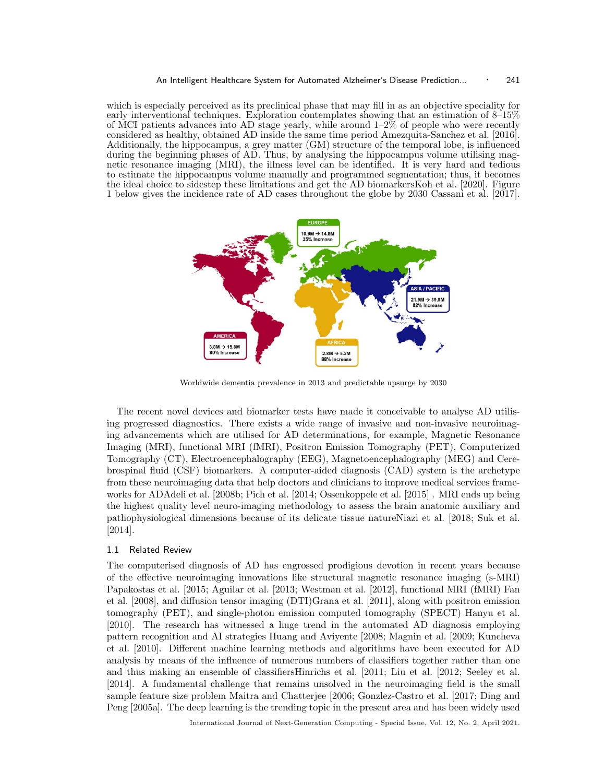which is especially perceived as its preclinical phase that may fill in as an objective speciality for early interventional techniques. Exploration contemplates showing that an estimation of 8–15% of MCI patients advances into AD stage yearly, while around  $1-2\%$  of people who were recently considered as healthy, obtained AD inside the same time period Amezquita-Sanchez et al. [2016]. Additionally, the hippocampus, a grey matter (GM) structure of the temporal lobe, is influenced during the beginning phases of AD. Thus, by analysing the hippocampus volume utilising magnetic resonance imaging (MRI), the illness level can be identified. It is very hard and tedious to estimate the hippocampus volume manually and programmed segmentation; thus, it becomes the ideal choice to sidestep these limitations and get the AD biomarkersKoh et al. [2020]. Figure 1 below gives the incidence rate of AD cases throughout the globe by 2030 Cassani et al. [2017].



Worldwide dementia prevalence in 2013 and predictable upsurge by 2030

The recent novel devices and biomarker tests have made it conceivable to analyse AD utilising progressed diagnostics. There exists a wide range of invasive and non-invasive neuroimaging advancements which are utilised for AD determinations, for example, Magnetic Resonance Imaging (MRI), functional MRI (fMRI), Positron Emission Tomography (PET), Computerized Tomography (CT), Electroencephalography (EEG), Magnetoencephalography (MEG) and Cerebrospinal fluid (CSF) biomarkers. A computer-aided diagnosis (CAD) system is the archetype from these neuroimaging data that help doctors and clinicians to improve medical services frameworks for ADAdeli et al. [2008b; Pich et al. [2014; Ossenkoppele et al. [2015] . MRI ends up being the highest quality level neuro-imaging methodology to assess the brain anatomic auxiliary and pathophysiological dimensions because of its delicate tissue natureNiazi et al. [2018; Suk et al. [2014].

#### 1.1 Related Review

The computerised diagnosis of AD has engrossed prodigious devotion in recent years because of the effective neuroimaging innovations like structural magnetic resonance imaging (s-MRI) Papakostas et al. [2015; Aguilar et al. [2013; Westman et al. [2012], functional MRI (fMRI) Fan et al. [2008], and diffusion tensor imaging (DTI)Grana et al. [2011], along with positron emission tomography (PET), and single-photon emission computed tomography (SPECT) Hanyu et al. [2010]. The research has witnessed a huge trend in the automated AD diagnosis employing pattern recognition and AI strategies Huang and Aviyente [2008; Magnin et al. [2009; Kuncheva et al. [2010]. Different machine learning methods and algorithms have been executed for AD analysis by means of the influence of numerous numbers of classifiers together rather than one and thus making an ensemble of classifiersHinrichs et al. [2011; Liu et al. [2012; Seeley et al. [2014]. A fundamental challenge that remains unsolved in the neuroimaging field is the small sample feature size problem Maitra and Chatterjee [2006; Gonzlez-Castro et al. [2017; Ding and Peng [2005a]. The deep learning is the trending topic in the present area and has been widely used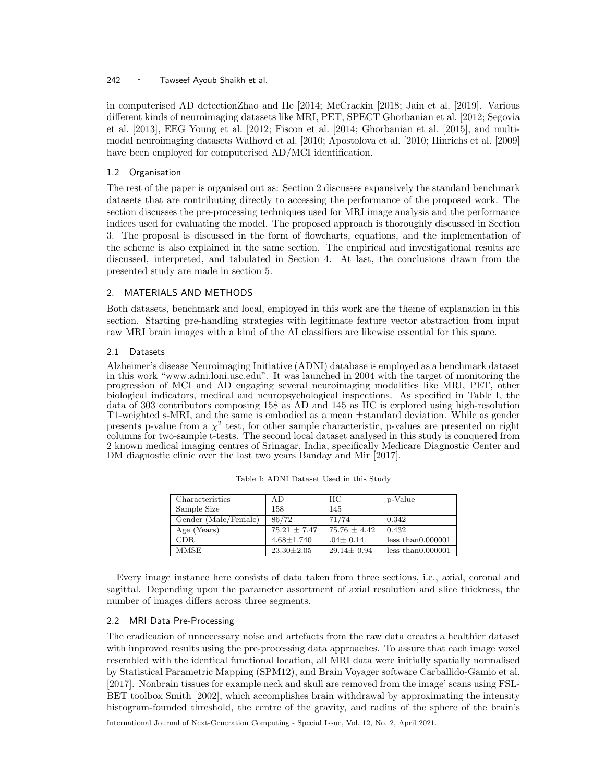in computerised AD detectionZhao and He [2014; McCrackin [2018; Jain et al. [2019]. Various different kinds of neuroimaging datasets like MRI, PET, SPECT Ghorbanian et al. [2012; Segovia et al. [2013], EEG Young et al. [2012; Fiscon et al. [2014; Ghorbanian et al. [2015], and multimodal neuroimaging datasets Walhovd et al. [2010; Apostolova et al. [2010; Hinrichs et al. [2009] have been employed for computerised AD/MCI identification.

# 1.2 Organisation

The rest of the paper is organised out as: Section 2 discusses expansively the standard benchmark datasets that are contributing directly to accessing the performance of the proposed work. The section discusses the pre-processing techniques used for MRI image analysis and the performance indices used for evaluating the model. The proposed approach is thoroughly discussed in Section 3. The proposal is discussed in the form of flowcharts, equations, and the implementation of the scheme is also explained in the same section. The empirical and investigational results are discussed, interpreted, and tabulated in Section 4. At last, the conclusions drawn from the presented study are made in section 5.

# 2. MATERIALS AND METHODS

Both datasets, benchmark and local, employed in this work are the theme of explanation in this section. Starting pre-handling strategies with legitimate feature vector abstraction from input raw MRI brain images with a kind of the AI classifiers are likewise essential for this space.

# 2.1 Datasets

Alzheimer's disease Neuroimaging Initiative (ADNI) database is employed as a benchmark dataset in this work "www.adni.loni.usc.edu". It was launched in 2004 with the target of monitoring the progression of MCI and AD engaging several neuroimaging modalities like MRI, PET, other biological indicators, medical and neuropsychological inspections. As specified in Table I, the data of 303 contributors composing 158 as AD and 145 as HC is explored using high-resolution T1-weighted s-MRI, and the same is embodied as a mean ±standard deviation. While as gender presents p-value from a  $\chi^2$  test, for other sample characteristic, p-values are presented on right columns for two-sample t-tests. The second local dataset analysed in this study is conquered from 2 known medical imaging centres of Srinagar, India, specifically Medicare Diagnostic Center and DM diagnostic clinic over the last two years Banday and Mir [2017].

| Characteristics      | AD               | HС               | p-Value            |
|----------------------|------------------|------------------|--------------------|
| Sample Size          | 158              | 145              |                    |
| Gender (Male/Female) | 86/72            | 71/74            | 0.342              |
| Age (Years)          | $75.21 \pm 7.47$ | $75.76 \pm 4.42$ | 0.432              |
| CDR.                 | $4.68 \pm 1.740$ | $.04 \pm 0.14$   | less than 0.000001 |
| <b>MMSE</b>          | $23.30 \pm 2.05$ | $29.14 \pm 0.94$ | less than 0.000001 |

Table I: ADNI Dataset Used in this Study

Every image instance here consists of data taken from three sections, i.e., axial, coronal and sagittal. Depending upon the parameter assortment of axial resolution and slice thickness, the number of images differs across three segments.

# 2.2 MRI Data Pre-Processing

The eradication of unnecessary noise and artefacts from the raw data creates a healthier dataset with improved results using the pre-processing data approaches. To assure that each image voxel resembled with the identical functional location, all MRI data were initially spatially normalised by Statistical Parametric Mapping (SPM12), and Brain Voyager software Carballido-Gamio et al. [2017]. Nonbrain tissues for example neck and skull are removed from the image' scans using FSL-BET toolbox Smith [2002], which accomplishes brain withdrawal by approximating the intensity histogram-founded threshold, the centre of the gravity, and radius of the sphere of the brain's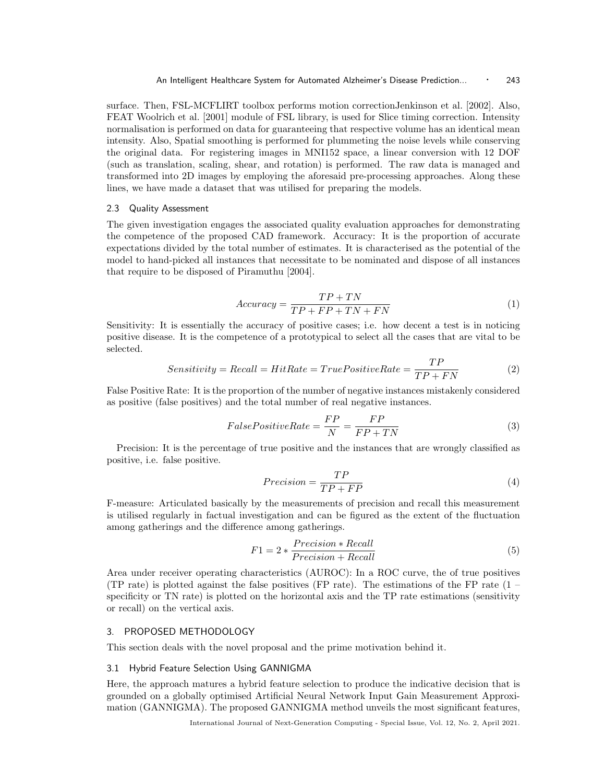surface. Then, FSL-MCFLIRT toolbox performs motion correctionJenkinson et al. [2002]. Also, FEAT Woolrich et al. [2001] module of FSL library, is used for Slice timing correction. Intensity normalisation is performed on data for guaranteeing that respective volume has an identical mean intensity. Also, Spatial smoothing is performed for plummeting the noise levels while conserving the original data. For registering images in MNI152 space, a linear conversion with 12 DOF (such as translation, scaling, shear, and rotation) is performed. The raw data is managed and transformed into 2D images by employing the aforesaid pre-processing approaches. Along these lines, we have made a dataset that was utilised for preparing the models.

#### 2.3 Quality Assessment

The given investigation engages the associated quality evaluation approaches for demonstrating the competence of the proposed CAD framework. Accuracy: It is the proportion of accurate expectations divided by the total number of estimates. It is characterised as the potential of the model to hand-picked all instances that necessitate to be nominated and dispose of all instances that require to be disposed of Piramuthu [2004].

$$
Accuracy = \frac{TP + TN}{TP + FP + TN + FN}
$$
\n<sup>(1)</sup>

 $\overline{P}$ 

Sensitivity: It is essentially the accuracy of positive cases; i.e. how decent a test is in noticing positive disease. It is the competence of a prototypical to select all the cases that are vital to be selected.

$$
Sensitivity = Recall = HitRate = TruePositiveRate = \frac{TP}{TP + FN}
$$
 (2)

False Positive Rate: It is the proportion of the number of negative instances mistakenly considered as positive (false positives) and the total number of real negative instances.

$$
False Positive Rate = \frac{FP}{N} = \frac{FP}{FP + TN}
$$
\n(3)

Precision: It is the percentage of true positive and the instances that are wrongly classified as positive, i.e. false positive.

$$
Precision = \frac{TP}{TP + FP}
$$
\n<sup>(4)</sup>

F-measure: Articulated basically by the measurements of precision and recall this measurement is utilised regularly in factual investigation and can be figured as the extent of the fluctuation among gatherings and the difference among gatherings.

$$
F1 = 2 * \frac{Precision * Recall}{Precision + Recall}
$$
\n(5)

Area under receiver operating characteristics (AUROC): In a ROC curve, the of true positives (TP rate) is plotted against the false positives (FP rate). The estimations of the FP rate  $(1$ specificity or TN rate) is plotted on the horizontal axis and the TP rate estimations (sensitivity or recall) on the vertical axis.

### 3. PROPOSED METHODOLOGY

This section deals with the novel proposal and the prime motivation behind it.

# 3.1 Hybrid Feature Selection Using GANNIGMA

Here, the approach matures a hybrid feature selection to produce the indicative decision that is grounded on a globally optimised Artificial Neural Network Input Gain Measurement Approximation (GANNIGMA). The proposed GANNIGMA method unveils the most significant features,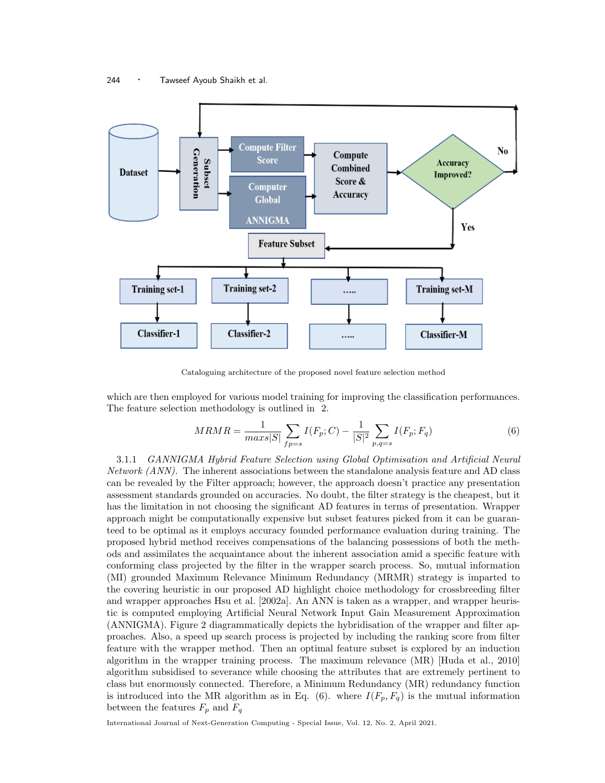

Cataloguing architecture of the proposed novel feature selection method

which are then employed for various model training for improving the classification performances. The feature selection methodology is outlined in 2.

$$
MRMR = \frac{1}{max|S|} \sum_{fp=s} I(F_p; C) - \frac{1}{|S|^2} \sum_{p,q=s} I(F_p; F_q)
$$
(6)

3.1.1 GANNIGMA Hybrid Feature Selection using Global Optimisation and Artificial Neural Network (ANN). The inherent associations between the standalone analysis feature and AD class can be revealed by the Filter approach; however, the approach doesn't practice any presentation assessment standards grounded on accuracies. No doubt, the filter strategy is the cheapest, but it has the limitation in not choosing the significant AD features in terms of presentation. Wrapper approach might be computationally expensive but subset features picked from it can be guaranteed to be optimal as it employs accuracy founded performance evaluation during training. The proposed hybrid method receives compensations of the balancing possessions of both the methods and assimilates the acquaintance about the inherent association amid a specific feature with conforming class projected by the filter in the wrapper search process. So, mutual information (MI) grounded Maximum Relevance Minimum Redundancy (MRMR) strategy is imparted to the covering heuristic in our proposed AD highlight choice methodology for crossbreeding filter and wrapper approaches Hsu et al. [2002a]. An ANN is taken as a wrapper, and wrapper heuristic is computed employing Artificial Neural Network Input Gain Measurement Approximation (ANNIGMA). Figure 2 diagrammatically depicts the hybridisation of the wrapper and filter approaches. Also, a speed up search process is projected by including the ranking score from filter feature with the wrapper method. Then an optimal feature subset is explored by an induction algorithm in the wrapper training process. The maximum relevance (MR) [Huda et al., 2010] algorithm subsidised to severance while choosing the attributes that are extremely pertinent to class but enormously connected. Therefore, a Minimum Redundancy (MR) redundancy function is introduced into the MR algorithm as in Eq. (6). where  $I(F_p, F_q)$  is the mutual information between the features  $F_p$  and  $F_q$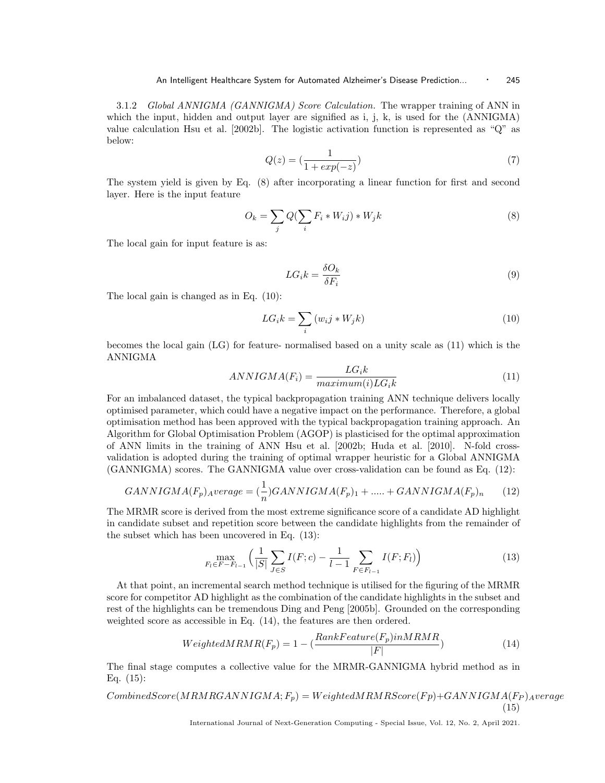3.1.2 Global ANNIGMA (GANNIGMA) Score Calculation. The wrapper training of ANN in which the input, hidden and output layer are signified as i, j, k, is used for the (ANNIGMA) value calculation Hsu et al. [2002b]. The logistic activation function is represented as "Q" as below:

$$
Q(z) = \left(\frac{1}{1 + exp(-z)}\right) \tag{7}
$$

The system yield is given by Eq. (8) after incorporating a linear function for first and second layer. Here is the input feature

$$
O_k = \sum_j Q(\sum_i F_i * W_i j) * W_j k \tag{8}
$$

The local gain for input feature is as:

$$
LG_i k = \frac{\delta O_k}{\delta F_i} \tag{9}
$$

The local gain is changed as in Eq. (10):

$$
LG_i k = \sum_i \left( w_i j * W_j k \right) \tag{10}
$$

becomes the local gain (LG) for feature- normalised based on a unity scale as (11) which is the ANNIGMA

$$
ANNIGMA(F_i) = \frac{LG_i k}{maximum(i) LG_i k}
$$
\n(11)

For an imbalanced dataset, the typical backpropagation training ANN technique delivers locally optimised parameter, which could have a negative impact on the performance. Therefore, a global optimisation method has been approved with the typical backpropagation training approach. An Algorithm for Global Optimisation Problem (AGOP) is plasticised for the optimal approximation of ANN limits in the training of ANN Hsu et al. [2002b; Huda et al. [2010]. N-fold crossvalidation is adopted during the training of optimal wrapper heuristic for a Global ANNIGMA (GANNIGMA) scores. The GANNIGMA value over cross-validation can be found as Eq. (12):

$$
GANNIGMA(F_p) \, average = \left(\frac{1}{n}\right) GANNIGMA(F_p) \, 1 + \dots + GANNIGMA(F_p) \, n \tag{12}
$$

The MRMR score is derived from the most extreme significance score of a candidate AD highlight in candidate subset and repetition score between the candidate highlights from the remainder of the subset which has been uncovered in Eq. (13):

$$
\max_{F_l \in F - F_{l-1}} \left( \frac{1}{|S|} \sum_{J \in S} I(F; c) - \frac{1}{l-1} \sum_{F \in F_{l-1}} I(F; F_l) \right) \tag{13}
$$

At that point, an incremental search method technique is utilised for the figuring of the MRMR score for competitor AD highlight as the combination of the candidate highlights in the subset and rest of the highlights can be tremendous Ding and Peng [2005b]. Grounded on the corresponding weighted score as accessible in Eq. (14), the features are then ordered.

$$
WeightedMRMR(F_p) = 1 - (\frac{RankFeature(F_p)inMRMR}{|F|})
$$
\n(14)

The final stage computes a collective value for the MRMR-GANNIGMA hybrid method as in Eq. (15):

$$
CombinedScore(MRMRGANNIGMA; F_p) = WeightedMRMScore(Fp) + GANNIGMA(F_P)_{A} verage
$$
\n(15)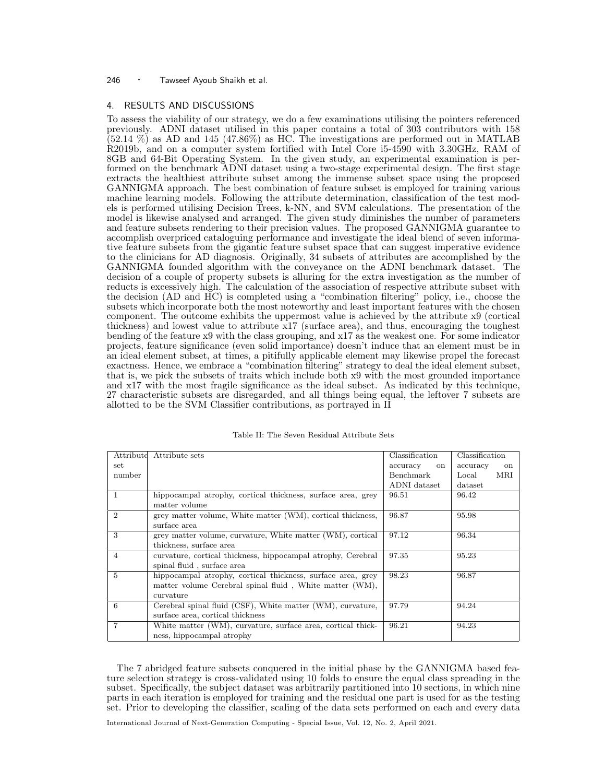# 4. RESULTS AND DISCUSSIONS

To assess the viability of our strategy, we do a few examinations utilising the pointers referenced previously. ADNI dataset utilised in this paper contains a total of 303 contributors with 158  $(52.14 \%)$  as AD and 145 (47.86%) as HC. The investigations are performed out in MATLAB R2019b, and on a computer system fortified with Intel Core i5-4590 with 3.30GHz, RAM of 8GB and 64-Bit Operating System. In the given study, an experimental examination is performed on the benchmark ADNI dataset using a two-stage experimental design. The first stage extracts the healthiest attribute subset among the immense subset space using the proposed GANNIGMA approach. The best combination of feature subset is employed for training various machine learning models. Following the attribute determination, classification of the test models is performed utilising Decision Trees, k-NN, and SVM calculations. The presentation of the model is likewise analysed and arranged. The given study diminishes the number of parameters and feature subsets rendering to their precision values. The proposed GANNIGMA guarantee to accomplish overpriced cataloguing performance and investigate the ideal blend of seven informative feature subsets from the gigantic feature subset space that can suggest imperative evidence to the clinicians for AD diagnosis. Originally, 34 subsets of attributes are accomplished by the GANNIGMA founded algorithm with the conveyance on the ADNI benchmark dataset. The decision of a couple of property subsets is alluring for the extra investigation as the number of reducts is excessively high. The calculation of the association of respective attribute subset with the decision (AD and HC) is completed using a "combination filtering" policy, i.e., choose the subsets which incorporate both the most noteworthy and least important features with the chosen component. The outcome exhibits the uppermost value is achieved by the attribute x9 (cortical thickness) and lowest value to attribute x17 (surface area), and thus, encouraging the toughest bending of the feature x9 with the class grouping, and x17 as the weakest one. For some indicator projects, feature significance (even solid importance) doesn't induce that an element must be in an ideal element subset, at times, a pitifully applicable element may likewise propel the forecast exactness. Hence, we embrace a "combination filtering" strategy to deal the ideal element subset, that is, we pick the subsets of traits which include both x9 with the most grounded importance and x17 with the most fragile significance as the ideal subset. As indicated by this technique, 27 characteristic subsets are disregarded, and all things being equal, the leftover 7 subsets are allotted to be the SVM Classifier contributions, as portrayed in II

| Attribute      | Attribute sets                                                                                                                      | Classification            | Classification            |  |
|----------------|-------------------------------------------------------------------------------------------------------------------------------------|---------------------------|---------------------------|--|
| set            |                                                                                                                                     | accuracy<br><sub>on</sub> | accuracy<br><sub>on</sub> |  |
| number         |                                                                                                                                     | Benchmark                 | MRI<br>Local              |  |
|                |                                                                                                                                     | ADNI dataset              | dataset                   |  |
| $\mathbf{1}$   | hippocampal atrophy, cortical thickness, surface area, grey<br>matter volume                                                        | 96.51                     | 96.42                     |  |
| $\overline{2}$ | grey matter volume, White matter (WM), cortical thickness,<br>surface area                                                          | 96.87                     | 95.98                     |  |
| 3              | grey matter volume, curvature, White matter (WM), cortical<br>thickness, surface area                                               | 97.12                     | 96.34                     |  |
| $\overline{4}$ | curvature, cortical thickness, hippocampal atrophy, Cerebral<br>spinal fluid, surface area                                          | 97.35                     | 95.23                     |  |
| $\overline{5}$ | hippocampal atrophy, cortical thickness, surface area, grey<br>matter volume Cerebral spinal fluid, White matter (WM),<br>curvature | 98.23                     | 96.87                     |  |
| 6              | Cerebral spinal fluid (CSF), White matter (WM), curvature,<br>surface area, cortical thickness                                      | 97.79                     | 94.24                     |  |
| 7              | White matter (WM), curvature, surface area, cortical thick-<br>ness, hippocampal atrophy                                            | 96.21                     | 94.23                     |  |

|  | Table II: The Seven Residual Attribute Sets |  |  |  |
|--|---------------------------------------------|--|--|--|
|--|---------------------------------------------|--|--|--|

The 7 abridged feature subsets conquered in the initial phase by the GANNIGMA based feature selection strategy is cross-validated using 10 folds to ensure the equal class spreading in the subset. Specifically, the subject dataset was arbitrarily partitioned into 10 sections, in which nine parts in each iteration is employed for training and the residual one part is used for as the testing set. Prior to developing the classifier, scaling of the data sets performed on each and every data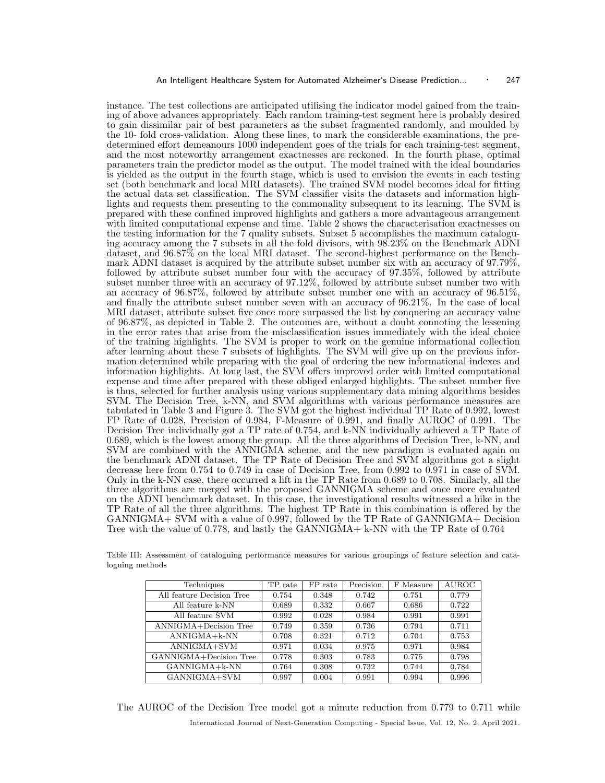instance. The test collections are anticipated utilising the indicator model gained from the training of above advances appropriately. Each random training-test segment here is probably desired to gain dissimilar pair of best parameters as the subset fragmented randomly, and moulded by the 10- fold cross-validation. Along these lines, to mark the considerable examinations, the predetermined effort demeanours 1000 independent goes of the trials for each training-test segment, and the most noteworthy arrangement exactnesses are reckoned. In the fourth phase, optimal parameters train the predictor model as the output. The model trained with the ideal boundaries is yielded as the output in the fourth stage, which is used to envision the events in each testing set (both benchmark and local MRI datasets). The trained SVM model becomes ideal for fitting the actual data set classification. The SVM classifier visits the datasets and information highlights and requests them presenting to the commonality subsequent to its learning. The SVM is prepared with these confined improved highlights and gathers a more advantageous arrangement with limited computational expense and time. Table 2 shows the characterisation exactnesses on the testing information for the 7 quality subsets. Subset 5 accomplishes the maximum cataloguing accuracy among the 7 subsets in all the fold divisors, with 98.23% on the Benchmark ADNI dataset, and 96.87% on the local MRI dataset. The second-highest performance on the Benchmark ADNI dataset is acquired by the attribute subset number six with an accuracy of 97.79%, followed by attribute subset number four with the accuracy of 97.35%, followed by attribute subset number three with an accuracy of 97.12%, followed by attribute subset number two with an accuracy of 96.87%, followed by attribute subset number one with an accuracy of 96.51%, and finally the attribute subset number seven with an accuracy of 96.21%. In the case of local MRI dataset, attribute subset five once more surpassed the list by conquering an accuracy value of 96.87%, as depicted in Table 2. The outcomes are, without a doubt connoting the lessening in the error rates that arise from the misclassification issues immediately with the ideal choice of the training highlights. The SVM is proper to work on the genuine informational collection after learning about these 7 subsets of highlights. The SVM will give up on the previous information determined while preparing with the goal of ordering the new informational indexes and information highlights. At long last, the SVM offers improved order with limited computational expense and time after prepared with these obliged enlarged highlights. The subset number five is thus, selected for further analysis using various supplementary data mining algorithms besides SVM. The Decision Tree, k-NN, and SVM algorithms with various performance measures are tabulated in Table 3 and Figure 3. The SVM got the highest individual TP Rate of 0.992, lowest FP Rate of 0.028, Precision of 0.984, F-Measure of 0.991, and finally AUROC of 0.991. The Decision Tree individually got a TP rate of 0.754, and k-NN individually achieved a TP Rate of 0.689, which is the lowest among the group. All the three algorithms of Decision Tree, k-NN, and SVM are combined with the ANNIGMA scheme, and the new paradigm is evaluated again on the benchmark ADNI dataset. The TP Rate of Decision Tree and SVM algorithms got a slight decrease here from 0.754 to 0.749 in case of Decision Tree, from 0.992 to 0.971 in case of SVM. Only in the k-NN case, there occurred a lift in the TP Rate from 0.689 to 0.708. Similarly, all the three algorithms are merged with the proposed GANNIGMA scheme and once more evaluated on the ADNI benchmark dataset. In this case, the investigational results witnessed a hike in the TP Rate of all the three algorithms. The highest TP Rate in this combination is offered by the GANNIGMA+ SVM with a value of 0.997, followed by the TP Rate of GANNIGMA+ Decision Tree with the value of 0.778, and lastly the GANNIGMA+ k-NN with the TP Rate of 0.764

Table III: Assessment of cataloguing performance measures for various groupings of feature selection and cataloguing methods

| Techniques                | TP rate | FP rate | Precision | F Measure | <b>AUROC</b> |
|---------------------------|---------|---------|-----------|-----------|--------------|
| All feature Decision Tree | 0.754   | 0.348   | 0.742     | 0.751     | 0.779        |
| All feature k-NN          | 0.689   | 0.332   | 0.667     | 0.686     | 0.722        |
| All feature SVM           | 0.992   | 0.028   | 0.984     | 0.991     | 0.991        |
| ANNIGMA+Decision Tree     | 0.749   | 0.359   | 0.736     | 0.794     | 0.711        |
| $ANNIGMA + k-NN$          | 0.708   | 0.321   | 0.712     | 0.704     | 0.753        |
| ANNIGMA+SVM               | 0.971   | 0.034   | 0.975     | 0.971     | 0.984        |
| GANNIGMA+Decision Tree    | 0.778   | 0.303   | 0.783     | 0.775     | 0.798        |
| GANNIGMA+k-NN             | 0.764   | 0.308   | 0.732     | 0.744     | 0.784        |
| GANNIGMA+SVM              | 0.997   | 0.004   | 0.991     | 0.994     | 0.996        |

The AUROC of the Decision Tree model got a minute reduction from 0.779 to 0.711 while International Journal of Next-Generation Computing - Special Issue, Vol. 12, No. 2, April 2021.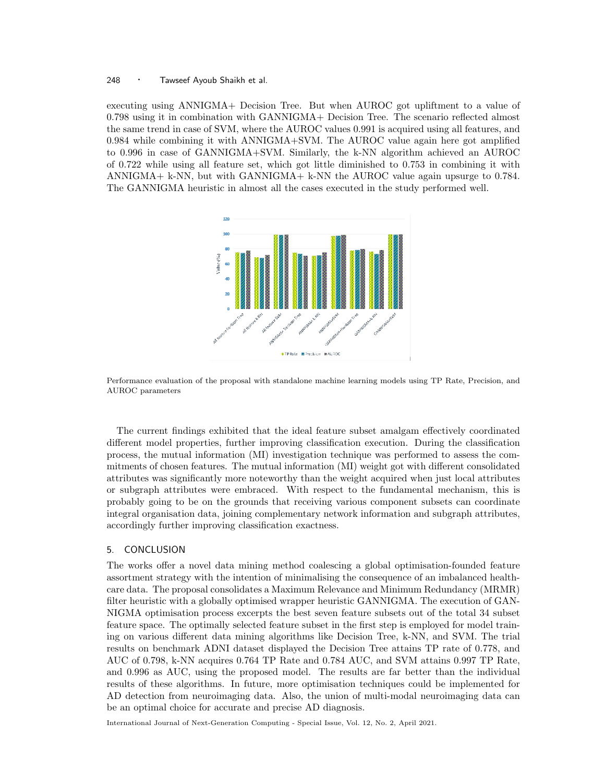executing using ANNIGMA+ Decision Tree. But when AUROC got upliftment to a value of 0.798 using it in combination with GANNIGMA+ Decision Tree. The scenario reflected almost the same trend in case of SVM, where the AUROC values 0.991 is acquired using all features, and 0.984 while combining it with ANNIGMA+SVM. The AUROC value again here got amplified to 0.996 in case of GANNIGMA+SVM. Similarly, the k-NN algorithm achieved an AUROC of 0.722 while using all feature set, which got little diminished to 0.753 in combining it with ANNIGMA + k-NN, but with GANNIGMA + k-NN the AUROC value again upsurge to 0.784. The GANNIGMA heuristic in almost all the cases executed in the study performed well.



Performance evaluation of the proposal with standalone machine learning models using TP Rate, Precision, and AUROC parameters

The current findings exhibited that the ideal feature subset amalgam effectively coordinated different model properties, further improving classification execution. During the classification process, the mutual information (MI) investigation technique was performed to assess the commitments of chosen features. The mutual information (MI) weight got with different consolidated attributes was significantly more noteworthy than the weight acquired when just local attributes or subgraph attributes were embraced. With respect to the fundamental mechanism, this is probably going to be on the grounds that receiving various component subsets can coordinate integral organisation data, joining complementary network information and subgraph attributes, accordingly further improving classification exactness.

## 5. CONCLUSION

The works offer a novel data mining method coalescing a global optimisation-founded feature assortment strategy with the intention of minimalising the consequence of an imbalanced healthcare data. The proposal consolidates a Maximum Relevance and Minimum Redundancy (MRMR) filter heuristic with a globally optimised wrapper heuristic GANNIGMA. The execution of GAN-NIGMA optimisation process excerpts the best seven feature subsets out of the total 34 subset feature space. The optimally selected feature subset in the first step is employed for model training on various different data mining algorithms like Decision Tree, k-NN, and SVM. The trial results on benchmark ADNI dataset displayed the Decision Tree attains TP rate of 0.778, and AUC of 0.798, k-NN acquires 0.764 TP Rate and 0.784 AUC, and SVM attains 0.997 TP Rate, and 0.996 as AUC, using the proposed model. The results are far better than the individual results of these algorithms. In future, more optimisation techniques could be implemented for AD detection from neuroimaging data. Also, the union of multi-modal neuroimaging data can be an optimal choice for accurate and precise AD diagnosis.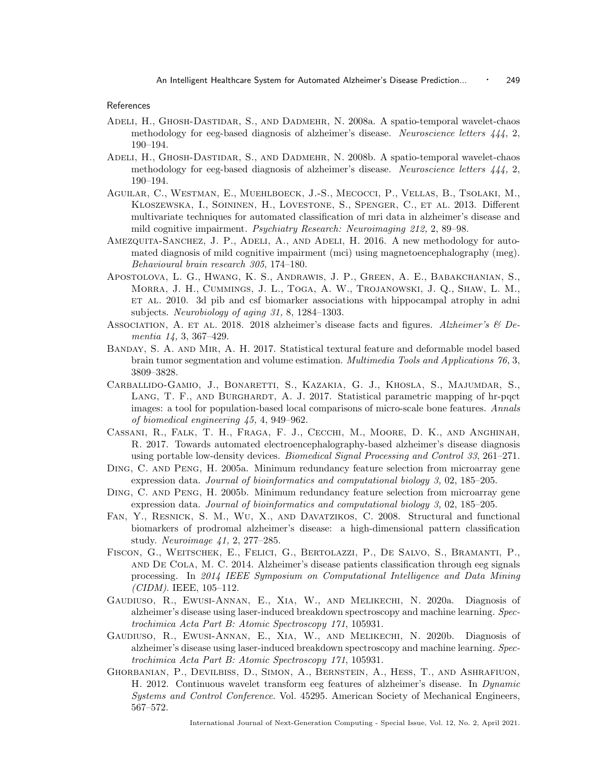# References

- Adeli, H., Ghosh-Dastidar, S., and Dadmehr, N. 2008a. A spatio-temporal wavelet-chaos methodology for eeg-based diagnosis of alzheimer's disease. Neuroscience letters  $444$ , 2, 190–194.
- Adeli, H., Ghosh-Dastidar, S., and Dadmehr, N. 2008b. A spatio-temporal wavelet-chaos methodology for eeg-based diagnosis of alzheimer's disease. Neuroscience letters  $444$ , 2, 190–194.
- Aguilar, C., Westman, E., Muehlboeck, J.-S., Mecocci, P., Vellas, B., Tsolaki, M., Kloszewska, I., Soininen, H., Lovestone, S., Spenger, C., et al. 2013. Different multivariate techniques for automated classification of mri data in alzheimer's disease and mild cognitive impairment. Psychiatry Research: Neuroimaging 212, 2, 89–98.
- AMEZQUITA-SANCHEZ, J. P., ADELI, A., AND ADELI, H. 2016. A new methodology for automated diagnosis of mild cognitive impairment (mci) using magnetoencephalography (meg). Behavioural brain research 305, 174–180.
- Apostolova, L. G., Hwang, K. S., Andrawis, J. P., Green, A. E., Babakchanian, S., Morra, J. H., Cummings, J. L., Toga, A. W., Trojanowski, J. Q., Shaw, L. M., ET AL. 2010. 3d pib and csf biomarker associations with hippocampal atrophy in adni subjects. Neurobiology of aging 31, 8, 1284–1303.
- ASSOCIATION, A. ET AL. 2018. 2018 alzheimer's disease facts and figures. Alzheimer's  $\&$  Dementia 14, 3, 367–429.
- Banday, S. A. and Mir, A. H. 2017. Statistical textural feature and deformable model based brain tumor segmentation and volume estimation. Multimedia Tools and Applications 76, 3, 3809–3828.
- Carballido-Gamio, J., Bonaretti, S., Kazakia, G. J., Khosla, S., Majumdar, S., LANG, T. F., AND BURGHARDT, A. J. 2017. Statistical parametric mapping of hr-pqct images: a tool for population-based local comparisons of micro-scale bone features. Annals of biomedical engineering 45, 4, 949–962.
- Cassani, R., Falk, T. H., Fraga, F. J., Cecchi, M., Moore, D. K., and Anghinah, R. 2017. Towards automated electroencephalography-based alzheimer's disease diagnosis using portable low-density devices. Biomedical Signal Processing and Control 33, 261–271.
- Ding, C. and Peng, H. 2005a. Minimum redundancy feature selection from microarray gene expression data. Journal of bioinformatics and computational biology 3, 02, 185–205.
- Ding, C. and Peng, H. 2005b. Minimum redundancy feature selection from microarray gene expression data. Journal of bioinformatics and computational biology 3, 02, 185–205.
- Fan, Y., Resnick, S. M., Wu, X., and Davatzikos, C. 2008. Structural and functional biomarkers of prodromal alzheimer's disease: a high-dimensional pattern classification study. Neuroimage 41, 2, 277–285.
- Fiscon, G., Weitschek, E., Felici, G., Bertolazzi, P., De Salvo, S., Bramanti, P., and De Cola, M. C. 2014. Alzheimer's disease patients classification through eeg signals processing. In 2014 IEEE Symposium on Computational Intelligence and Data Mining (CIDM). IEEE, 105–112.
- Gaudiuso, R., Ewusi-Annan, E., Xia, W., and Melikechi, N. 2020a. Diagnosis of alzheimer's disease using laser-induced breakdown spectroscopy and machine learning. Spectrochimica Acta Part B: Atomic Spectroscopy 171, 105931.
- Gaudiuso, R., Ewusi-Annan, E., Xia, W., and Melikechi, N. 2020b. Diagnosis of alzheimer's disease using laser-induced breakdown spectroscopy and machine learning. Spectrochimica Acta Part B: Atomic Spectroscopy 171, 105931.
- Ghorbanian, P., Devilbiss, D., Simon, A., Bernstein, A., Hess, T., and Ashrafiuon, H. 2012. Continuous wavelet transform eeg features of alzheimer's disease. In Dynamic Systems and Control Conference. Vol. 45295. American Society of Mechanical Engineers, 567–572.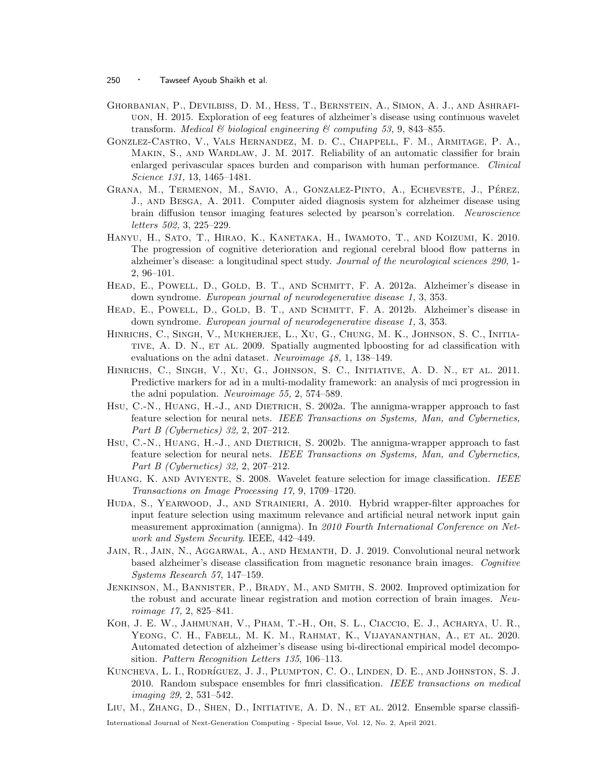- Ghorbanian, P., Devilbiss, D. M., Hess, T., Bernstein, A., Simon, A. J., and Ashrafiuon, H. 2015. Exploration of eeg features of alzheimer's disease using continuous wavelet transform. Medical  $\mathcal C$  biological engineering  $\mathcal C$  computing 53, 9, 843–855.
- Gonzlez-Castro, V., Vals Hernandez, M. d. C., Chappell, F. M., Armitage, P. A., MAKIN, S., AND WARDLAW, J. M. 2017. Reliability of an automatic classifier for brain enlarged perivascular spaces burden and comparison with human performance. Clinical Science 131, 13, 1465–1481.
- GRANA, M., TERMENON, M., SAVIO, A., GONZALEZ-PINTO, A., ECHEVESTE, J., PÉREZ, J., and Besga, A. 2011. Computer aided diagnosis system for alzheimer disease using brain diffusion tensor imaging features selected by pearson's correlation. Neuroscience letters 502, 3, 225–229.
- Hanyu, H., Sato, T., Hirao, K., Kanetaka, H., Iwamoto, T., and Koizumi, K. 2010. The progression of cognitive deterioration and regional cerebral blood flow patterns in alzheimer's disease: a longitudinal spect study. Journal of the neurological sciences 290, 1- 2, 96–101.
- HEAD, E., POWELL, D., GOLD, B. T., AND SCHMITT, F. A. 2012a. Alzheimer's disease in down syndrome. European journal of neurodegenerative disease 1, 3, 353.
- HEAD, E., POWELL, D., GOLD, B. T., AND SCHMITT, F. A. 2012b. Alzheimer's disease in down syndrome. European journal of neurodegenerative disease 1, 3, 353.
- Hinrichs, C., Singh, V., Mukherjee, L., Xu, G., Chung, M. K., Johnson, S. C., Initiative, A. D. N., et al. 2009. Spatially augmented lpboosting for ad classification with evaluations on the adni dataset. Neuroimage 48, 1, 138–149.
- Hinrichs, C., Singh, V., Xu, G., Johnson, S. C., Initiative, A. D. N., et al. 2011. Predictive markers for ad in a multi-modality framework: an analysis of mci progression in the adni population. Neuroimage 55, 2, 574–589.
- Hsu, C.-N., Huang, H.-J., and Dietrich, S. 2002a. The annigma-wrapper approach to fast feature selection for neural nets. IEEE Transactions on Systems, Man, and Cybernetics, Part B (Cybernetics) 32, 2, 207–212.
- Hsu, C.-N., Huang, H.-J., and Dietrich, S. 2002b. The annigma-wrapper approach to fast feature selection for neural nets. IEEE Transactions on Systems, Man, and Cybernetics, Part B (Cybernetics) 32, 2, 207–212.
- HUANG, K. AND AVIYENTE, S. 2008. Wavelet feature selection for image classification. IEEE Transactions on Image Processing 17, 9, 1709–1720.
- Huda, S., Yearwood, J., and Strainieri, A. 2010. Hybrid wrapper-filter approaches for input feature selection using maximum relevance and artificial neural network input gain measurement approximation (annigma). In 2010 Fourth International Conference on Network and System Security. IEEE, 442–449.
- Jain, R., Jain, N., Aggarwal, A., and Hemanth, D. J. 2019. Convolutional neural network based alzheimer's disease classification from magnetic resonance brain images. Cognitive Systems Research 57, 147–159.
- Jenkinson, M., Bannister, P., Brady, M., and Smith, S. 2002. Improved optimization for the robust and accurate linear registration and motion correction of brain images. Neuroimage 17, 2, 825–841.
- Koh, J. E. W., Jahmunah, V., Pham, T.-H., Oh, S. L., Ciaccio, E. J., Acharya, U. R., Yeong, C. H., Fabell, M. K. M., Rahmat, K., Vijayananthan, A., et al. 2020. Automated detection of alzheimer's disease using bi-directional empirical model decomposition. Pattern Recognition Letters 135, 106–113.
- KUNCHEVA, L. I., RODRÍGUEZ, J. J., PLUMPTON, C. O., LINDEN, D. E., AND JOHNSTON, S. J. 2010. Random subspace ensembles for fmri classification. IEEE transactions on medical imaging 29, 2, 531–542.
- Liu, M., Zhang, D., Shen, D., Initiative, A. D. N., et al. 2012. Ensemble sparse classifi-

<sup>250 ·</sup> Tawseef Ayoub Shaikh et al.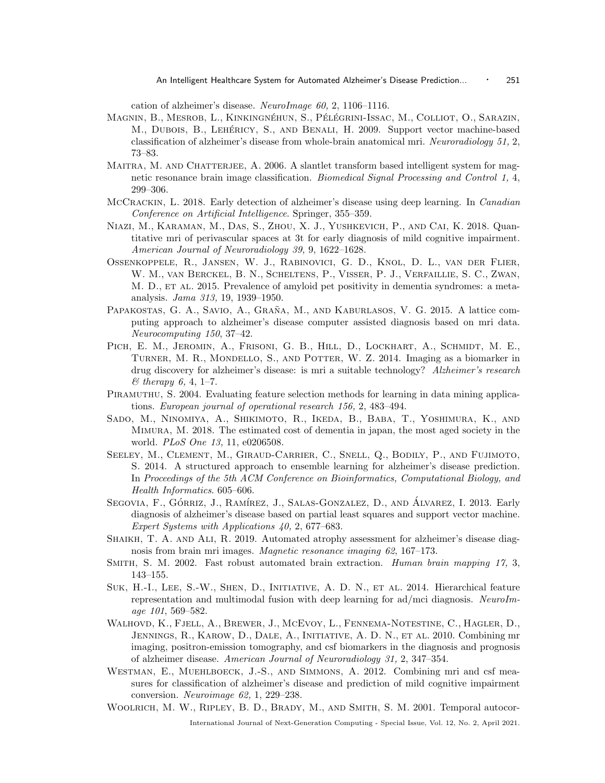cation of alzheimer's disease. NeuroImage 60, 2, 1106–1116.

- Magnin, B., Mesrob, L., Kinkingnéhun, S., Pélégrini-Issac, M., Colliot, O., Sarazin, M., DUBOIS, B., LEHÉRICY, S., AND BENALI, H. 2009. Support vector machine-based classification of alzheimer's disease from whole-brain anatomical mri. Neuroradiology 51, 2, 73–83.
- MAITRA, M. AND CHATTERJEE, A. 2006. A slantlet transform based intelligent system for magnetic resonance brain image classification. Biomedical Signal Processing and Control 1, 4, 299–306.
- MCCRACKIN, L. 2018. Early detection of alzheimer's disease using deep learning. In *Canadian* Conference on Artificial Intelligence. Springer, 355–359.
- Niazi, M., Karaman, M., Das, S., Zhou, X. J., Yushkevich, P., and Cai, K. 2018. Quantitative mri of perivascular spaces at 3t for early diagnosis of mild cognitive impairment. American Journal of Neuroradiology 39, 9, 1622–1628.
- Ossenkoppele, R., Jansen, W. J., Rabinovici, G. D., Knol, D. L., van der Flier, W. M., van Berckel, B. N., Scheltens, P., Visser, P. J., Verfaillie, S. C., Zwan, M. D., ET AL. 2015. Prevalence of amyloid pet positivity in dementia syndromes: a metaanalysis. Jama 313, 19, 1939–1950.
- PAPAKOSTAS, G. A., SAVIO, A., GRAÑA, M., AND KABURLASOS, V. G. 2015. A lattice computing approach to alzheimer's disease computer assisted diagnosis based on mri data. Neurocomputing 150, 37–42.
- PICH, E. M., JEROMIN, A., FRISONI, G. B., HILL, D., LOCKHART, A., SCHMIDT, M. E., TURNER, M. R., MONDELLO, S., AND POTTER, W. Z. 2014. Imaging as a biomarker in drug discovery for alzheimer's disease: is mri a suitable technology? Alzheimer's research  $&$  therapy 6, 4, 1–7.
- PIRAMUTHU, S. 2004. Evaluating feature selection methods for learning in data mining applications. European journal of operational research 156, 2, 483–494.
- Sado, M., Ninomiya, A., Shikimoto, R., Ikeda, B., Baba, T., Yoshimura, K., and Mimura, M. 2018. The estimated cost of dementia in japan, the most aged society in the world. PLoS One 13, 11, e0206508.
- Seeley, M., Clement, M., Giraud-Carrier, C., Snell, Q., Bodily, P., and Fujimoto, S. 2014. A structured approach to ensemble learning for alzheimer's disease prediction. In Proceedings of the 5th ACM Conference on Bioinformatics, Computational Biology, and Health Informatics. 605–606.
- SEGOVIA, F., GÓRRIZ, J., RAMÍREZ, J., SALAS-GONZALEZ, D., AND ÁLVAREZ, I. 2013. Early diagnosis of alzheimer's disease based on partial least squares and support vector machine. Expert Systems with Applications 40, 2, 677–683.
- Shaikh, T. A. and Ali, R. 2019. Automated atrophy assessment for alzheimer's disease diagnosis from brain mri images. Magnetic resonance imaging 62, 167–173.
- SMITH, S. M. 2002. Fast robust automated brain extraction. Human brain mapping 17, 3, 143–155.
- Suk, H.-I., Lee, S.-W., Shen, D., Initiative, A. D. N., et al. 2014. Hierarchical feature representation and multimodal fusion with deep learning for ad/mci diagnosis. NeuroImage 101, 569–582.
- Walhovd, K., Fjell, A., Brewer, J., McEvoy, L., Fennema-Notestine, C., Hagler, D., Jennings, R., Karow, D., Dale, A., Initiative, A. D. N., et al. 2010. Combining mr imaging, positron-emission tomography, and csf biomarkers in the diagnosis and prognosis of alzheimer disease. American Journal of Neuroradiology 31, 2, 347–354.
- WESTMAN, E., MUEHLBOECK, J.-S., AND SIMMONS, A. 2012. Combining mri and csf measures for classification of alzheimer's disease and prediction of mild cognitive impairment conversion. Neuroimage 62, 1, 229–238.
- WOOLRICH, M. W., RIPLEY, B. D., BRADY, M., AND SMITH, S. M. 2001. Temporal autocor-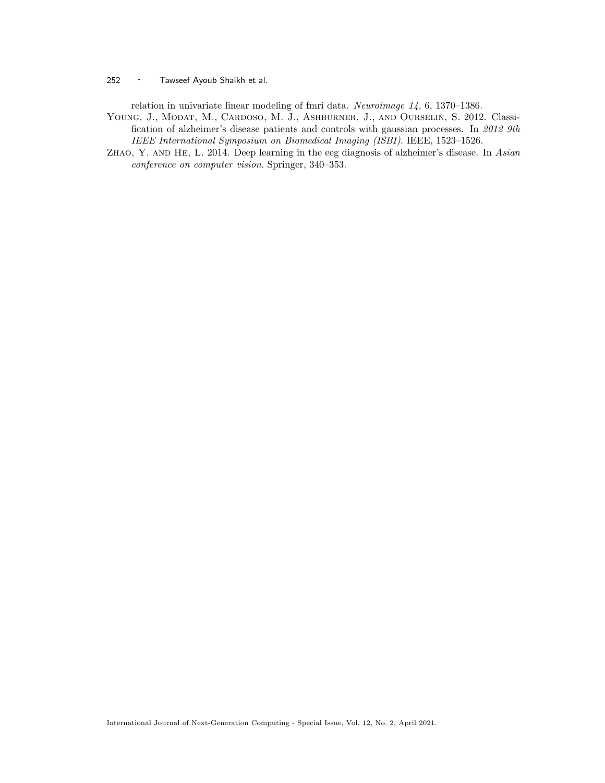relation in univariate linear modeling of fmri data. Neuroimage 14, 6, 1370–1386.

- YOUNG, J., MODAT, M., CARDOSO, M. J., ASHBURNER, J., AND OURSELIN, S. 2012. Classification of alzheimer's disease patients and controls with gaussian processes. In 2012 9th IEEE International Symposium on Biomedical Imaging (ISBI). IEEE, 1523–1526.
- Zhao, Y. and He, L. 2014. Deep learning in the eeg diagnosis of alzheimer's disease. In Asian conference on computer vision. Springer, 340–353.